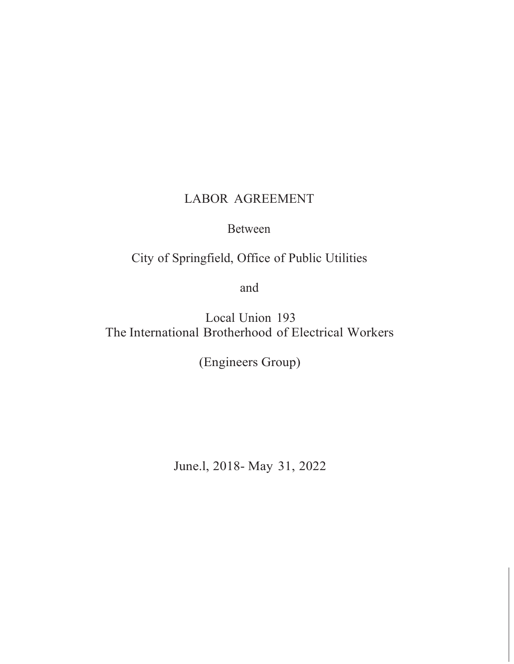# LABOR AGREEMENT

## Between

City of Springfield, Office of Public Utilities

and

Local Union 193 The International Brotherhood of Electrical Workers

(Engineers Group)

June.l, 2018- May 31, 2022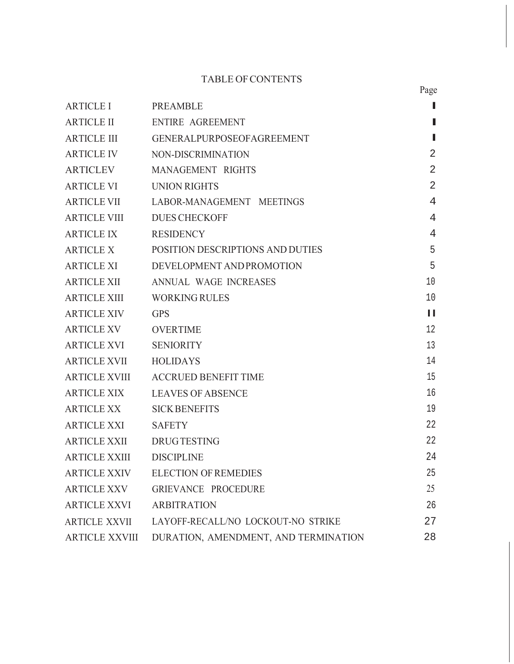## TABLE OF CONTENTS

|                          |                                            | Page           |
|--------------------------|--------------------------------------------|----------------|
| <b>ARTICLE I</b>         | <b>PREAMBLE</b>                            | П              |
| <b>ARTICLE II</b>        | ENTIRE AGREEMENT                           | П              |
| <b>ARTICLE III</b>       | GENERALPURPOSEOFAGREEMENT                  | П              |
| <b>ARTICLE IV</b>        | NON-DISCRIMINATION                         | $\overline{2}$ |
|                          | ARTICLEV MANAGEMENT RIGHTS                 | $\overline{2}$ |
| <b>ARTICLE VI</b>        | <b>UNION RIGHTS</b>                        | $\overline{2}$ |
| <b>ARTICLE VII</b>       | LABOR-MANAGEMENT MEETINGS                  | $\overline{4}$ |
|                          | ARTICLE VIII DUES CHECKOFF                 | $\overline{4}$ |
| ARTICLE IX RESIDENCY     |                                            | $\overline{4}$ |
|                          | ARTICLE X POSITION DESCRIPTIONS AND DUTIES | 5              |
|                          | ARTICLE XI DEVELOPMENT AND PROMOTION       | 5              |
| <b>ARTICLE XII</b>       | ANNUAL WAGE INCREASES                      | 10             |
|                          | ARTICLE XIII WORKING RULES                 | 10             |
| <b>ARTICLE XIV</b>       | <b>GPS</b>                                 | $\mathbf{H}$   |
| <b>ARTICLE XV</b>        | <b>OVERTIME</b>                            | 12             |
| <b>ARTICLE XVI</b>       | <b>SENIORITY</b>                           | 13             |
| ARTICLE XVII HOLIDAYS    |                                            | 14             |
|                          | ARTICLE XVIII ACCRUED BENEFIT TIME         | 15             |
| ARTICLE XIX              | <b>LEAVES OF ABSENCE</b>                   | 16             |
| ARTICLE XX               | <b>SICK BENEFITS</b>                       | 19             |
| <b>ARTICLE XXI</b>       | <b>SAFETY</b>                              | 22             |
| <b>ARTICLE XXII</b>      | <b>DRUGTESTING</b>                         | 22             |
| ARTICLE XXIII DISCIPLINE |                                            | 24             |
| ARTICLE XXIV             | <b>ELECTION OF REMEDIES</b>                | 25             |
| ARTICLE XXV              | GRIEVANCE PROCEDURE                        | 25             |
| ARTICLE XXVI             | <b>ARBITRATION</b>                         | 26             |
| <b>ARTICLE XXVII</b>     | LAYOFF-RECALL/NO LOCKOUT-NO STRIKE         | 27             |
| <b>ARTICLE XXVIII</b>    | DURATION, AMENDMENT, AND TERMINATION       | 28             |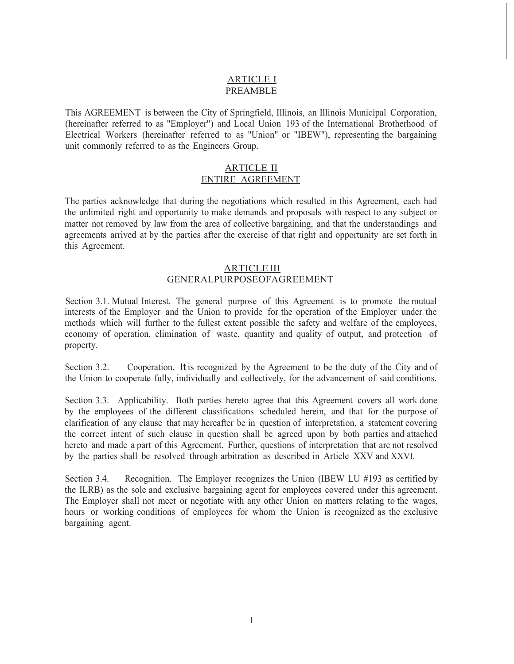## ARTICLE I PREAMBLE

This AGREEMENT is between the City of Springfield, Illinois, an Illinois Municipal Corporation, (hereinafter referred to as "Employer") and Local Union 193 of the International Brotherhood of Electrical Workers (hereinafter referred to as "Union" or "IBEW"), representing the bargaining unit commonly referred to as the Engineers Group.

## ARTICLE II ENTIRE AGREEMENT

The parties acknowledge that during the negotiations which resulted in this Agreement, each had the unlimited right and opportunity to make demands and proposals with respect to any subject or matter not removed by law from the area of collective bargaining, and that the understandings and agreements arrived at by the parties after the exercise of that right and opportunity are set forth in this Agreement.

## **ARTICLE III** GENERALPURPOSEOFAGREEMENT

Section 3.1. Mutual Interest. The general purpose of this Agreement is to promote the mutual interests of the Employer and the Union to provide for the operation of the Employer under the methods which will further to the fullest extent possible the safety and welfare of the employees, economy of operation, elimination of waste, quantity and quality of output, and protection of property.

Section 3.2. Cooperation. It is recognized by the Agreement to be the duty of the City and of the Union to cooperate fully, individually and collectively, for the advancement of said conditions.

Section 3.3. Applicability. Both parties hereto agree that this Agreement covers all work done by the employees of the different classifications scheduled herein, and that for the purpose of clarification of any clause that may hereafter be in question of interpretation, a statement covering the correct intent of such clause in question shall be agreed upon by both parties and attached hereto and made a part of this Agreement. Further, questions of interpretation that are not resolved by the parties shall be resolved through arbitration as described in Article XXV and XXVI.

Section 3.4. Recognition. The Employer recognizes the Union (IBEW LU #193 as certified by the ILRB) as the sole and exclusive bargaining agent for employees covered under this agreement. The Employer shall not meet or negotiate with any other Union on matters relating to the wages, hours or working conditions of employees for whom the Union is recognized as the exclusive bargaining agent.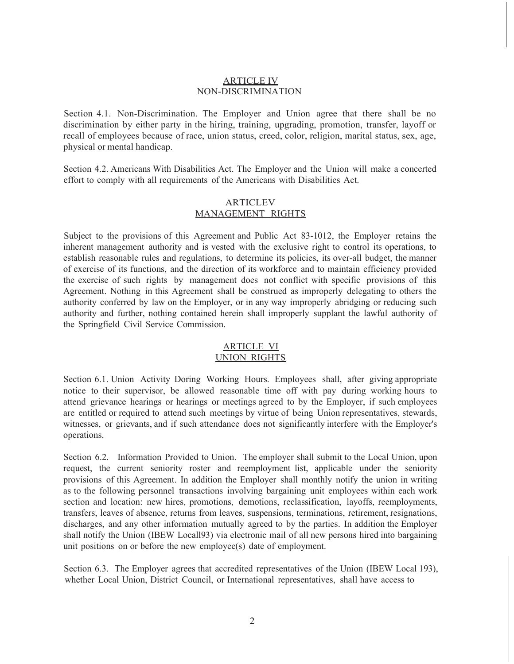## ARTICLE IV NON-DISCRIMINATION

Section 4.1. Non-Discrimination. The Employer and Union agree that there shall be no discrimination by either party in the hiring, training, upgrading, promotion, transfer, layoff or recall of employees because of race, union status, creed, color, religion, marital status, sex, age, physical or mental handicap.

Section 4.2. Americans With Disabilities Act. The Employer and the Union will make a concerted effort to comply with all requirements of the Americans with Disabilities Act.

## ARTICLEV MANAGEMENT RIGHTS

Subject to the provisions of this Agreement and Public Act 83-1012, the Employer retains the inherent management authority and is vested with the exclusive right to control its operations, to establish reasonable rules and regulations, to determine its policies, its over-all budget, the manner of exercise of its functions, and the direction of its workforce and to maintain efficiency provided the exercise of such rights by management does not conflict with specific provisions of this Agreement. Nothing in this Agreement shall be construed as improperly delegating to others the authority conferred by law on the Employer, or in any way improperly abridging or reducing such authority and further, nothing contained herein shall improperly supplant the lawful authority of the Springfield Civil Service Commission.

## ARTICLE VI UNION RIGHTS

Section 6.1. Union Activity Doring Working Hours. Employees shall, after giving appropriate notice to their supervisor, be allowed reasonable time off with pay during working hours to attend grievance hearings or hearings or meetings agreed to by the Employer, if such employees are entitled or required to attend such meetings by virtue of being Union representatives, stewards, witnesses, or grievants, and if such attendance does not significantly interfere with the Employer's operations.

Section 6.2. Information Provided to Union. The employer shall submit to the Local Union, upon request, the current seniority roster and reemployment list, applicable under the seniority provisions of this Agreement. In addition the Employer shall monthly notify the union in writing as to the following personnel transactions involving bargaining unit employees within each work section and location: new hires, promotions, demotions, reclassification, layoffs, reemployments, transfers, leaves of absence, returns from leaves, suspensions, terminations, retirement, resignations, discharges, and any other information mutually agreed to by the parties. In addition the Employer shall notify the Union (IBEW Locall93) via electronic mail of all new persons hired into bargaining unit positions on or before the new employee(s) date of employment.

Section 6.3. The Employer agrees that accredited representatives of the Union (IBEW Local 193), whether Local Union, District Council, or International representatives, shall have access to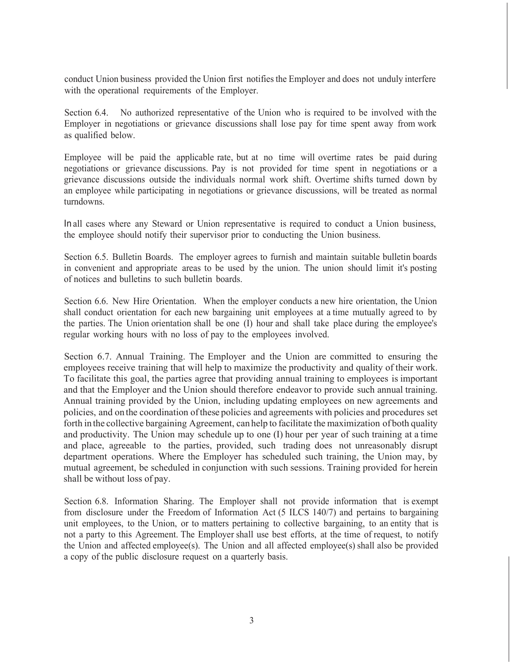conduct Union business provided the Union first notifies the Employer and does not unduly interfere with the operational requirements of the Employer.

Section 6.4. No authorized representative of the Union who is required to be involved with the Employer in negotiations or grievance discussions shall lose pay for time spent away from work as qualified below.

Employee will be paid the applicable rate, but at no time will overtime rates be paid during negotiations or grievance discussions. Pay is not provided for time spent in negotiations or a grievance discussions outside the individuals normal work shift. Overtime shifts turned down by an employee while participating in negotiations or grievance discussions, will be treated as normal turndowns.

In all cases where any Steward or Union representative is required to conduct a Union business, the employee should notify their supervisor prior to conducting the Union business.

Section 6.5. Bulletin Boards. The employer agrees to furnish and maintain suitable bulletin boards in convenient and appropriate areas to be used by the union. The union should limit it's posting of notices and bulletins to such bulletin boards.

Section 6.6. New Hire Orientation. When the employer conducts a new hire orientation, the Union shall conduct orientation for each new bargaining unit employees at a time mutually agreed to by the parties. The Union orientation shall be one (I) hour and shall take place during the employee's regular working hours with no loss of pay to the employees involved.

Section 6.7. Annual Training. The Employer and the Union are committed to ensuring the employees receive training that will help to maximize the productivity and quality of their work. To facilitate this goal, the parties agree that providing annual training to employees is important and that the Employer and the Union should therefore endeavor to provide such annual training. Annual training provided by the Union, including updating employees on new agreements and policies, and on the coordination of these policies and agreements with policies and procedures set forth in the collective bargaining Agreement, can help to facilitate the maximization of both quality and productivity. The Union may schedule up to one (I) hour per year of such training at a time and place, agreeable to the parties, provided, such trading does not unreasonably disrupt department operations. Where the Employer has scheduled such training, the Union may, by mutual agreement, be scheduled in conjunction with such sessions. Training provided for herein shall be without loss of pay.

Section 6.8. Information Sharing. The Employer shall not provide information that is exempt from disclosure under the Freedom of Information Act (5 ILCS 140/7) and pertains to bargaining unit employees, to the Union, or to matters pertaining to collective bargaining, to an entity that is not a party to this Agreement. The Employer shall use best efforts, at the time of request, to notify the Union and affected employee(s). The Union and all affected employee(s) shall also be provided a copy of the public disclosure request on a quarterly basis.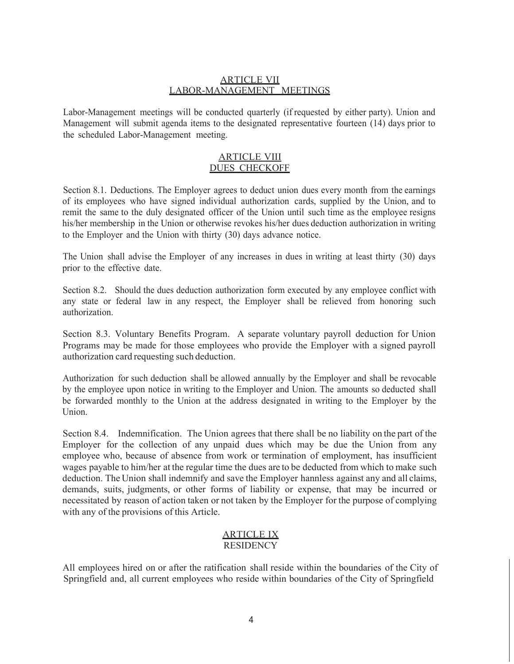## ARTICLE VII LABOR-MANAGEMENT MEETINGS

Labor-Management meetings will be conducted quarterly (if requested by either party). Union and Management will submit agenda items to the designated representative fourteen (14) days prior to the scheduled Labor-Management meeting.

## ARTICLE VIII DUES CHECKOFF

Section 8.1. Deductions. The Employer agrees to deduct union dues every month from the earnings of its employees who have signed individual authorization cards, supplied by the Union, and to remit the same to the duly designated officer of the Union until such time as the employee resigns his/her membership in the Union or otherwise revokes his/her dues deduction authorization in writing to the Employer and the Union with thirty (30) days advance notice.

The Union shall advise the Employer of any increases in dues in writing at least thirty (30) days prior to the effective date.

Section 8.2. Should the dues deduction authorization form executed by any employee conflict with any state or federal law in any respect, the Employer shall be relieved from honoring such authorization.

Section 8.3. Voluntary Benefits Program. A separate voluntary payroll deduction for Union Programs may be made for those employees who provide the Employer with a signed payroll authorization card requesting such deduction.

Authorization for such deduction shall be allowed annually by the Employer and shall be revocable by the employee upon notice in writing to the Employer and Union. The amounts so deducted shall be forwarded monthly to the Union at the address designated in writing to the Employer by the Union.

Section 8.4. Indemnification. The Union agrees that there shall be no liability on the part of the Employer for the collection of any unpaid dues which may be due the Union from any employee who, because of absence from work or termination of employment, has insufficient wages payable to him/her at the regular time the dues are to be deducted from which to make such deduction. The Union shall indemnify and save the Employer hannless against any and all claims, demands, suits, judgments, or other forms of liability or expense, that may be incurred or necessitated by reason of action taken or not taken by the Employer for the purpose of complying with any of the provisions of this Article.

## ARTICLE IX **RESIDENCY**

All employees hired on or after the ratification shall reside within the boundaries of the City of Springfield and, all current employees who reside within boundaries of the City of Springfield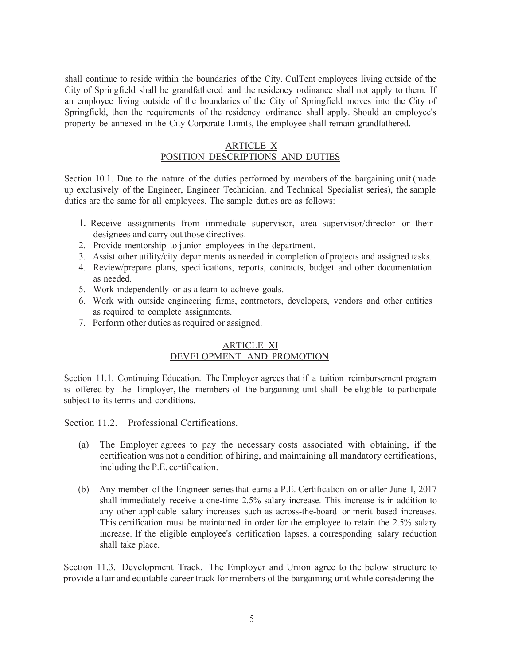shall continue to reside within the boundaries of the City. CulTent employees living outside of the City of Springfield shall be grandfathered and the residency ordinance shall not apply to them. If an employee living outside of the boundaries of the City of Springfield moves into the City of Springfield, then the requirements of the residency ordinance shall apply. Should an employee's property be annexed in the City Corporate Limits, the employee shall remain grandfathered.

#### ARTICLE X POSITION DESCRIPTIONS AND DUTIES

Section 10.1. Due to the nature of the duties performed by members of the bargaining unit (made up exclusively of the Engineer, Engineer Technician, and Technical Specialist series), the sample duties are the same for all employees. The sample duties are as follows:

- I. Receive assignments from immediate supervisor, area supervisor/director or their designees and carry out those directives.
- 2. Provide mentorship to junior employees in the department.
- 3. Assist other utility/city departments as needed in completion of projects and assigned tasks.
- 4. Review/prepare plans, specifications, reports, contracts, budget and other documentation as needed.
- 5. Work independently or as a team to achieve goals.
- 6. Work with outside engineering firms, contractors, developers, vendors and other entities as required to complete assignments.
- 7. Perform other duties as required or assigned.

## ARTICLE XI DEVELOPMENT AND PROMOTION

Section 11.1. Continuing Education. The Employer agrees that if a tuition reimbursement program is offered by the Employer, the members of the bargaining unit shall be eligible to participate subject to its terms and conditions.

Section 11.2. Professional Certifications.

- (a) The Employer agrees to pay the necessary costs associated with obtaining, if the certification was not a condition of hiring, and maintaining all mandatory certifications, including the P.E. certification.
- (b) Any member of the Engineer series that earns a P.E. Certification on or after June I, 2017 shall immediately receive a one-time 2.5% salary increase. This increase is in addition to any other applicable salary increases such as across-the-board or merit based increases. This certification must be maintained in order for the employee to retain the 2.5% salary increase. If the eligible employee's certification lapses, a corresponding salary reduction shall take place.

Section 11.3. Development Track. The Employer and Union agree to the below structure to provide a fair and equitable career track for members of the bargaining unit while considering the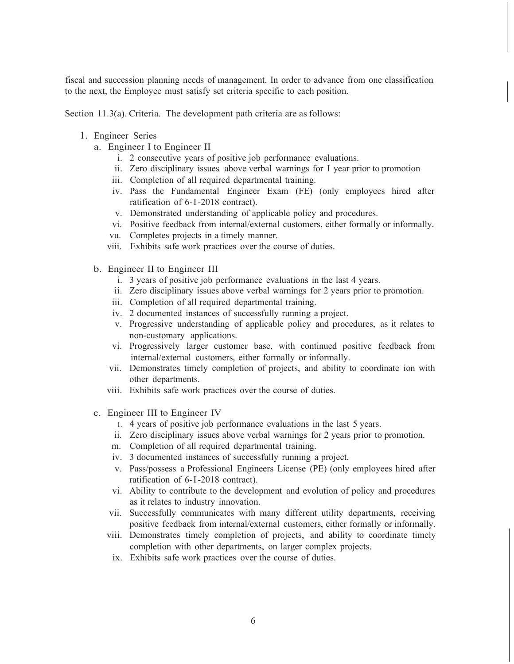fiscal and succession planning needs of management. In order to advance from one classification to the next, the Employee must satisfy set criteria specific to each position.

Section 11.3(a). Criteria. The development path criteria are as follows:

- 1. Engineer Series
	- a. Engineer I to Engineer II
		- i. 2 consecutive years of positive job performance evaluations.
		- ii. Zero disciplinary issues above verbal warnings for I year prior to promotion
		- iii. Completion of all required departmental training.
		- iv. Pass the Fundamental Engineer Exam (FE) (only employees hired after ratification of 6-I-2018 contract).
		- v. Demonstrated understanding of applicable policy and procedures.
		- vi. Positive feedback from internal/external customers, either formally or informally.
		- vu. Completes projects in a timely manner.
		- viii. Exhibits safe work practices over the course of duties.
	- b. Engineer II to Engineer III
		- i. 3 years of positive job performance evaluations in the last 4 years.
		- ii. Zero disciplinary issues above verbal warnings for 2 years prior to promotion.
		- iii. Completion of all required departmental training.
		- iv. 2 documented instances of successfully running a project.
		- v. Progressive understanding of applicable policy and procedures, as it relates to non-customary applications.
		- vi. Progressively larger customer base, with continued positive feedback from internal/external customers, either formally or informally.
		- vii. Demonstrates timely completion of projects, and ability to coordinate ion with other departments.
		- viii. Exhibits safe work practices over the course of duties.
	- c. Engineer III to Engineer IV
		- 1. 4 years of positive job performance evaluations in the last 5 years.
		- ii. Zero disciplinary issues above verbal warnings for 2 years prior to promotion.
		- m. Completion of all required departmental training.
		- iv. 3 documented instances of successfully running a project.
		- v. Pass/possess a Professional Engineers License (PE) (only employees hired after ratification of 6-I-2018 contract).
		- vi. Ability to contribute to the development and evolution of policy and procedures as it relates to industry innovation.
		- vii. Successfully communicates with many different utility departments, receiving positive feedback from internal/external customers, either formally or informally.
		- viii. Demonstrates timely completion of projects, and ability to coordinate timely completion with other departments, on larger complex projects.
		- ix. Exhibits safe work practices over the course of duties.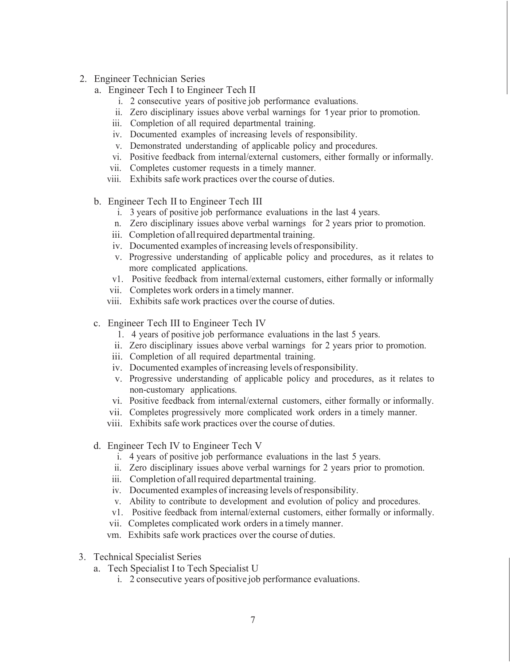- 2. Engineer Technician Series
	- a. Engineer Tech I to Engineer Tech II
		- i. 2 consecutive years of positive job performance evaluations.
		- ii. Zero disciplinary issues above verbal warnings for 1 year prior to promotion.
		- iii. Completion of all required departmental training.
		- iv. Documented examples of increasing levels of responsibility.
		- v. Demonstrated understanding of applicable policy and procedures.
		- vi. Positive feedback from internal/external customers, either formally or informally.
		- vii. Completes customer requests in a timely manner.
		- viii. Exhibits safe work practices over the course of duties.
	- b. Engineer Tech II to Engineer Tech III
		- i. 3 years of positive job performance evaluations in the last 4 years.
		- n. Zero disciplinary issues above verbal warnings for 2 years prior to promotion.
		- iii. Completion of all required departmental training.
		- iv. Documented examples of increasing levels of responsibility.
		- v. Progressive understanding of applicable policy and procedures, as it relates to more complicated applications.
		- v1. Positive feedback from internal/external customers, either formally or informally
		- vii. Completes work orders in a timely manner.
		- viii. Exhibits safe work practices over the course of duties.
	- c. Engineer Tech III to Engineer Tech IV
		- 1. 4 years of positive job performance evaluations in the last 5 years.
		- ii. Zero disciplinary issues above verbal warnings for 2 years prior to promotion.
		- iii. Completion of all required departmental training.
		- iv. Documented examples of increasing levels of responsibility.
		- v. Progressive understanding of applicable policy and procedures, as it relates to non-customary applications.
		- vi. Positive feedback from internal/external customers, either formally or informally.
		- vii. Completes progressively more complicated work orders in a timely manner.
		- viii. Exhibits safe work practices over the course of duties.
	- d. Engineer Tech IV to Engineer Tech V
		- i. 4 years of positive job performance evaluations in the last 5 years.
		- ii. Zero disciplinary issues above verbal warnings for 2 years prior to promotion.
		- iii. Completion of all required departmental training.
		- iv. Documented examples of increasing levels of responsibility.
		- v. Ability to contribute to development and evolution of policy and procedures.
		- v1. Positive feedback from internal/external customers, either formally or informally.
		- vii. Completes complicated work orders in a timely manner.
		- vm. Exhibits safe work practices over the course of duties.
- 3. Technical Specialist Series
	- a. Tech Specialist I to Tech Specialist U
		- i. 2 consecutive years of positive job performance evaluations.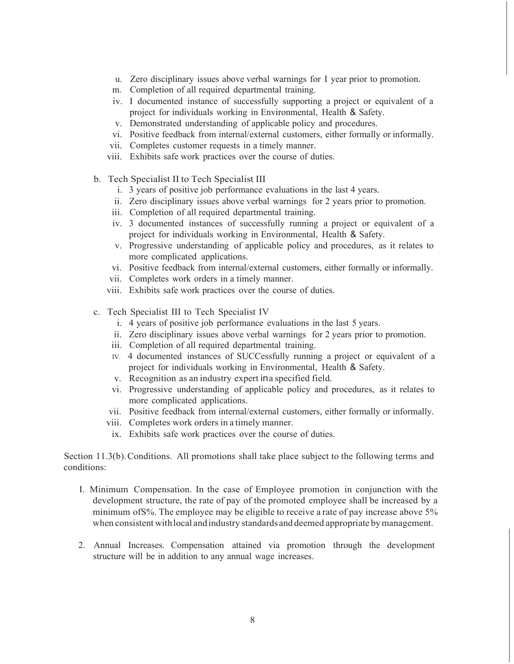- u. Zero disciplinary issues above verbal warnings for I year prior to promotion.
- m. Completion of all required departmental training.
- iv. I documented instance of successfully supporting a project or equivalent of a project for individuals working in Environmental, Health & Safety.
- v. Demonstrated understanding of applicable policy and procedures.
- vi. Positive feedback from internal/external customers, either formally or informally.
- vii. Completes customer requests in a timely manner.
- viii. Exhibits safe work practices over the course of duties.
- b. Tech Specialist II to Tech Specialist III
	- i. 3 years of positive job performance evaluations in the last 4 years.
	- ii. Zero disciplinary issues above verbal warnings for 2 years prior to promotion.
	- iii. Completion of all required departmental training.
	- iv. 3 documented instances of successfully running a project or equivalent of a project for individuals working in Environmental, Health & Safety.
	- v. Progressive understanding of applicable policy and procedures, as it relates to more complicated applications.
	- vi. Positive feedback from internal/external customers, either formally or informally.
	- vii. Completes work orders in a timely manner.
	- viii. Exhibits safe work practices over the course of duties.
- c. Tech Specialist III to Tech Specialist IV
	- i. 4 years of positive job performance evaluations in the last 5 years.
	- ii. Zero disciplinary issues above verbal warnings for 2 years prior to promotion.
	- iii. Completion of all required departmental training.
	- IV. 4 documented instances of SUCCessfully running a project or equivalent of a project for individuals working in Environmental, Health & Safety.
	- v. Recognition as an industry expert in a specified field.
	- vi. Progressive understanding of applicable policy and procedures, as it relates to more complicated applications.
	- vii. Positive feedback from internal/external customers, either formally or informally.
	- viii. Completes work orders in a timely manner.
		- ix. Exhibits safe work practices over the course of duties.

Section 11.3(b). Conditions. All promotions shall take place subject to the following terms and conditions:

- I. Minimum Compensation. In the case of Employee promotion in conjunction with the development structure, the rate of pay of the promoted employee shall be increased by a minimum ofS%. The employee may be eligible to receive a rate of pay increase above 5% when consistent with local and industry standards and deemed appropriate by management.
- 2. Annual Increases. Compensation attained via promotion through the development structure will be in addition to any annual wage increases.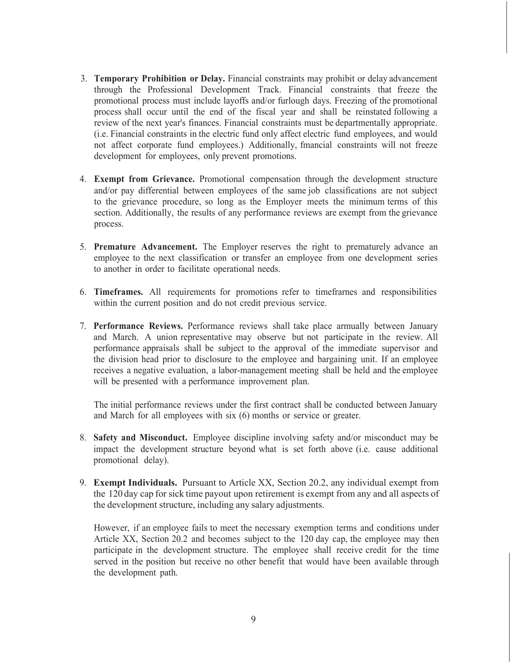- 3. **Temporary Prohibition or Delay.** Financial constraints may prohibit or delay advancement through the Professional Development Track. Financial constraints that freeze the promotional process must include layoffs and/or furlough days. Freezing of the promotional process shall occur until the end of the fiscal year and shall be reinstated following a review of the next year's finances. Financial constraints must be departmentally appropriate. (i.e. Financial constraints in the electric fund only affect electric fund employees, and would not affect corporate fund employees.) Additionally, fmancial constraints will not freeze development for employees, only prevent promotions.
- 4. **Exempt from Grievance.** Promotional compensation through the development structure and/or pay differential between employees of the same job classifications are not subject to the grievance procedure, so long as the Employer meets the minimum terms of this section. Additionally, the results of any performance reviews are exempt from the grievance process.
- 5. **Premature Advancement.** The Employer reserves the right to prematurely advance an employee to the next classification or transfer an employee from one development series to another in order to facilitate operational needs.
- 6. **Timeframes.** All requirements for promotions refer to timefrarnes and responsibilities within the current position and do not credit previous service.
- 7. **Performance Reviews.** Performance reviews shall take place armually between January and March. A union representative may observe but not participate in the review. All performance appraisals shall be subject to the approval of the immediate supervisor and the division head prior to disclosure to the employee and bargaining unit. If an employee receives a negative evaluation, a labor-management meeting shall be held and the employee will be presented with a performance improvement plan.

The initial performance reviews under the first contract shall be conducted between January and March for all employees with six (6) months or service or greater.

- 8. **Safety and Misconduct.** Employee discipline involving safety and/or misconduct may be impact the development structure beyond what is set forth above (i.e. cause additional promotional delay).
- 9. **Exempt Individuals.** Pursuant to Article XX, Section 20.2, any individual exempt from the 120 day cap for sick time payout upon retirement is exempt from any and all aspects of the development structure, including any salary adjustments.

However, if an employee fails to meet the necessary exemption terms and conditions under Article XX, Section 20.2 and becomes subject to the 120 day cap, the employee may then participate in the development structure. The employee shall receive credit for the time served in the position but receive no other benefit that would have been available through the development path.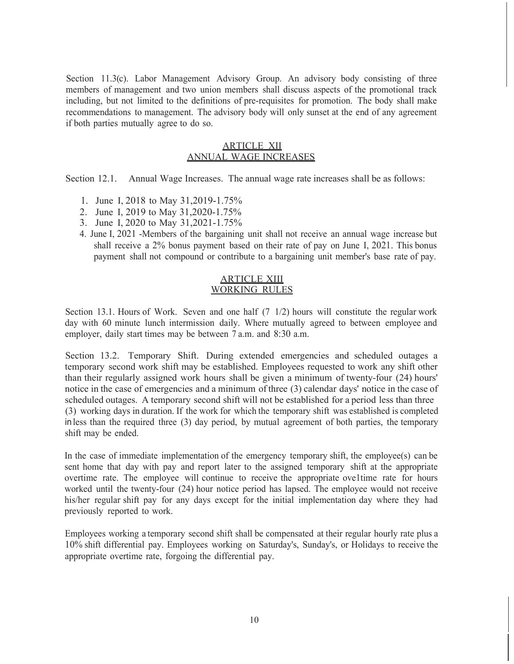Section 11.3(c). Labor Management Advisory Group. An advisory body consisting of three members of management and two union members shall discuss aspects of the promotional track including, but not limited to the definitions of pre-requisites for promotion. The body shall make recommendations to management. The advisory body will only sunset at the end of any agreement if both parties mutually agree to do so.

## ARTICLE XII ANNUAL WAGE INCREASES

Section 12.1. Annual Wage Increases. The annual wage rate increases shall be as follows:

- 1. June I, 2018 to May 31,2019-1.75%
- 2. June I, 2019 to May 31,2020-1.75%
- 3. June I, 2020 to May 31,2021-1.75%
- 4. June I, 2021 -Members of the bargaining unit shall not receive an annual wage increase but shall receive a 2% bonus payment based on their rate of pay on June I, 2021. This bonus payment shall not compound or contribute to a bargaining unit member's base rate of pay.

## ARTICLE XIII WORKING RULES

Section 13.1. Hours of Work. Seven and one half (7 1/2) hours will constitute the regular work day with 60 minute lunch intermission daily. Where mutually agreed to between employee and employer, daily start times may be between 7 a.m. and 8:30 a.m.

Section 13.2. Temporary Shift. During extended emergencies and scheduled outages a temporary second work shift may be established. Employees requested to work any shift other than their regularly assigned work hours shall be given a minimum of twenty-four (24) hours' notice in the case of emergencies and a minimum of three (3) calendar days' notice in the case of scheduled outages. A temporary second shift will not be established for a period less than three (3) working days in duration. If the work for which the temporary shift was established is completed in less than the required three (3) day period, by mutual agreement of both parties, the temporary shift may be ended.

In the case of immediate implementation of the emergency temporary shift, the employee(s) can be sent home that day with pay and report later to the assigned temporary shift at the appropriate overtime rate. The employee will continue to receive the appropriate ove1time rate for hours worked until the twenty-four (24) hour notice period has lapsed. The employee would not receive his/her regular shift pay for any days except for the initial implementation day where they had previously reported to work.

Employees working a temporary second shift shall be compensated at their regular hourly rate plus a 10% shift differential pay. Employees working on Saturday's, Sunday's, or Holidays to receive the appropriate overtime rate, forgoing the differential pay.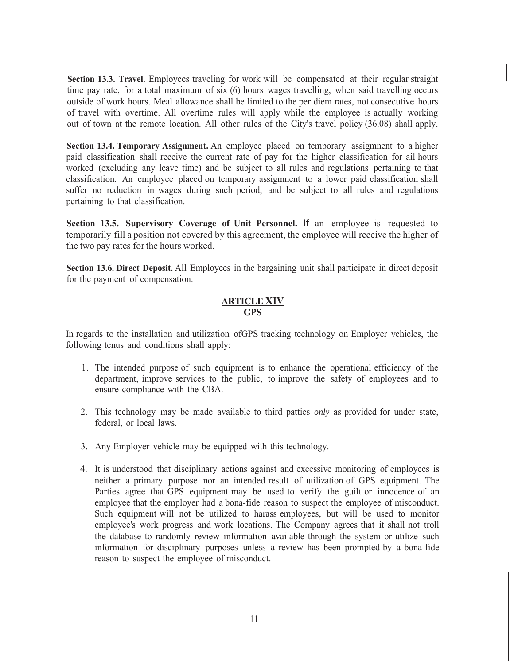**Section 13.3. Travel.** Employees traveling for work will be compensated at their regular straight time pay rate, for a total maximum of six (6) hours wages travelling, when said travelling occurs outside of work hours. Meal allowance shall be limited to the per diem rates, not consecutive hours of travel with overtime. All overtime rules will apply while the employee is actually working out of town at the remote location. All other rules of the City's travel policy (36.08) shall apply.

**Section 13.4. Temporary Assignment.** An employee placed on temporary assigmnent to a higher paid classification shall receive the current rate of pay for the higher classification for ail hours worked (excluding any leave time) and be subject to all rules and regulations pertaining to that classification. An employee placed on temporary assigmnent to a lower paid classification shall suffer no reduction in wages during such period, and be subject to all rules and regulations pertaining to that classification.

**Section 13.5. Supervisory Coverage of Unit Personnel.** If an employee is requested to temporarily fill a position not covered by this agreement, the employee will receive the higher of the two pay rates for the hours worked.

**Section 13.6. Direct Deposit.** All Employees in the bargaining unit shall participate in direct deposit for the payment of compensation.

#### **ARTICLE XIV GPS**

In regards to the installation and utilization ofGPS tracking technology on Employer vehicles, the following tenus and conditions shall apply:

- 1. The intended purpose of such equipment is to enhance the operational efficiency of the department, improve services to the public, to improve the safety of employees and to ensure compliance with the CBA.
- 2. This technology may be made available to third patties *only* as provided for under state, federal, or local laws.
- 3. Any Employer vehicle may be equipped with this technology.
- 4. It is understood that disciplinary actions against and excessive monitoring of employees is neither a primary purpose nor an intended result of utilization of GPS equipment. The Parties agree that GPS equipment may be used to verify the guilt or innocence of an employee that the employer had a bona-fide reason to suspect the employee of misconduct. Such equipment will not be utilized to harass employees, but will be used to monitor employee's work progress and work locations. The Company agrees that it shall not troll the database to randomly review information available through the system or utilize such information for disciplinary purposes unless a review has been prompted by a bona-fide reason to suspect the employee of misconduct.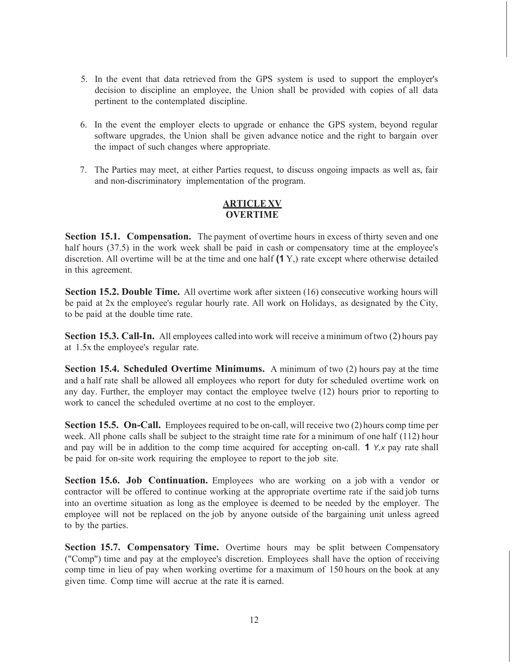- 5. In the event that data retrieved from the GPS system is used to support the employer's decision to discipline an employee, the Union shall be provided with copies of all data pertinent to the contemplated discipline.
- 6. In the event the employer elects to upgrade or enhance the GPS system, beyond regular software upgrades, the Union shall be given advance notice and the right to bargain over the impact of such changes where appropriate.
- 7. The Parties may meet, at either Parties request, to discuss ongoing impacts as well as, fair and non-discriminatory implementation of the program.

## **ARTICLE XV OVERTIME**

**Section 15.1. Compensation.** The payment of overtime hours in excess of thirty seven and one half hours (37.5) in the work week shall be paid in cash or compensatory time at the employee's discretion. All overtime will be at the time and one half **(1** Y,) rate except where otherwise detailed in this agreement.

**Section 15.2. Double Time.** All overtime work after sixteen (16) consecutive working hours will be paid at 2x the employee's regular hourly rate. All work on Holidays, as designated by the City, to be paid at the double time rate.

**Section 15.3. Call-In.** All employees called into work will receive a minimum of two (2) hours pay at 1.5x the employee's regular rate.

**Section 15.4. Scheduled Overtime Minimums.** A minimum of two (2) hours pay at the time and a half rate shall be allowed all employees who report for duty for scheduled overtime work on any day. Further, the employer may contact the employee twelve (12) hours prior to reporting to work to cancel the scheduled overtime at no cost to the employer.

**Section 15.5. On-Call.** Employees required to be on-call, will receive two (2) hours comp time per week. All phone calls shall be subject to the straight time rate for a minimum of one half (112) hour and pay will be in addition to the comp time acquired for accepting on-call. **1** *Y,x* pay rate shall be paid for on-site work requiring the employee to report to the job site.

**Section 15.6. Job Continuation.** Employees who are working on a job with a vendor or contractor will be offered to continue working at the appropriate overtime rate if the said job turns into an overtime situation as long as the employee is deemed to be needed by the employer. The employee will not be replaced on the job by anyone outside of the bargaining unit unless agreed to by the parties.

**Section 15.7. Compensatory Time.** Overtime hours may be split between Compensatory ("Comp") time and pay at the employee's discretion. Employees shall have the option of receiving comp time in lieu of pay when working overtime for a maximum of 150 hours on the book at any given time. Comp time will accrue at the rate it is earned.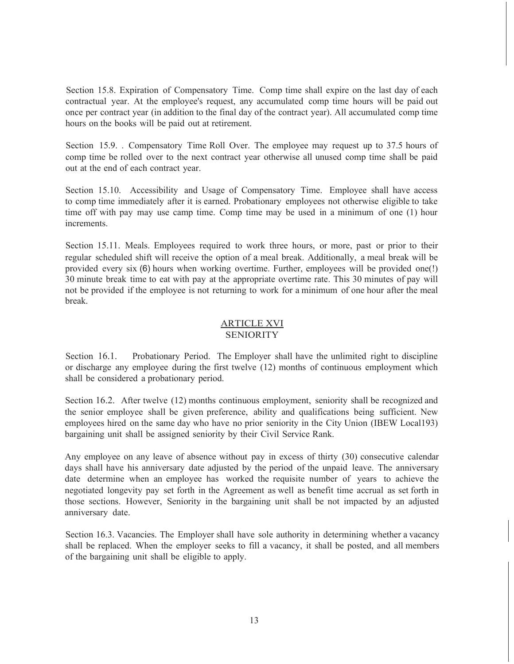Section 15.8. Expiration of Compensatory Time. Comp time shall expire on the last day of each contractual year. At the employee's request, any accumulated comp time hours will be paid out once per contract year (in addition to the final day of the contract year). All accumulated comp time hours on the books will be paid out at retirement.

Section 15.9. . Compensatory Time Roll Over. The employee may request up to 37.5 hours of comp time be rolled over to the next contract year otherwise all unused comp time shall be paid out at the end of each contract year.

Section 15.10. Accessibility and Usage of Compensatory Time. Employee shall have access to comp time immediately after it is earned. Probationary employees not otherwise eligible to take time off with pay may use camp time. Comp time may be used in a minimum of one (1) hour increments.

Section 15.11. Meals. Employees required to work three hours, or more, past or prior to their regular scheduled shift will receive the option of a meal break. Additionally, a meal break will be provided every six (6) hours when working overtime. Further, employees will be provided one(!) 30 minute break time to eat with pay at the appropriate overtime rate. This 30 minutes of pay will not be provided if the employee is not returning to work for a minimum of one hour after the meal break.

## ARTICLE XVI **SENIORITY**

Section 16.1. Probationary Period. The Employer shall have the unlimited right to discipline or discharge any employee during the first twelve (12) months of continuous employment which shall be considered a probationary period.

Section 16.2. After twelve (12) months continuous employment, seniority shall be recognized and the senior employee shall be given preference, ability and qualifications being sufficient. New employees hired on the same day who have no prior seniority in the City Union (IBEW Local193) bargaining unit shall be assigned seniority by their Civil Service Rank.

Any employee on any leave of absence without pay in excess of thirty (30) consecutive calendar days shall have his anniversary date adjusted by the period of the unpaid leave. The anniversary date determine when an employee has worked the requisite number of years to achieve the negotiated longevity pay set forth in the Agreement as well as benefit time accrual as set forth in those sections. However, Seniority in the bargaining unit shall be not impacted by an adjusted anniversary date.

Section 16.3. Vacancies. The Employer shall have sole authority in determining whether a vacancy shall be replaced. When the employer seeks to fill a vacancy, it shall be posted, and all members of the bargaining unit shall be eligible to apply.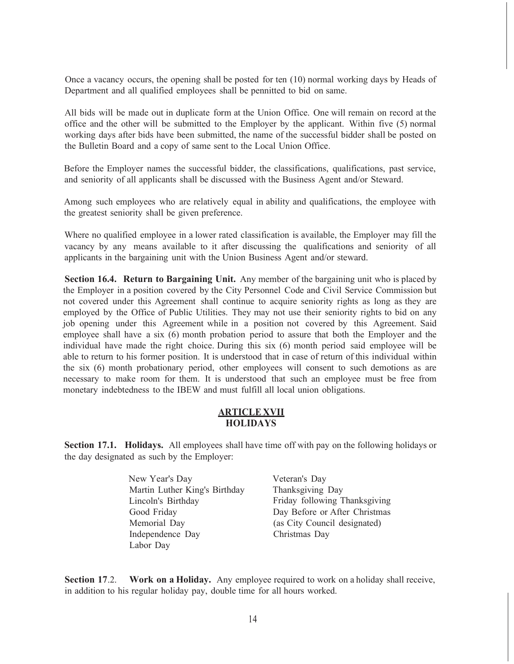Once a vacancy occurs, the opening shall be posted for ten (10) normal working days by Heads of Department and all qualified employees shall be pennitted to bid on same.

All bids will be made out in duplicate form at the Union Office. One will remain on record at the office and the other will be submitted to the Employer by the applicant. Within five (5) normal working days after bids have been submitted, the name of the successful bidder shall be posted on the Bulletin Board and a copy of same sent to the Local Union Office.

Before the Employer names the successful bidder, the classifications, qualifications, past service, and seniority of all applicants shall be discussed with the Business Agent and/or Steward.

Among such employees who are relatively equal in ability and qualifications, the employee with the greatest seniority shall be given preference.

Where no qualified employee in a lower rated classification is available, the Employer may fill the vacancy by any means available to it after discussing the qualifications and seniority of all applicants in the bargaining unit with the Union Business Agent and/or steward.

**Section 16.4. Return to Bargaining Unit.** Any member of the bargaining unit who is placed by the Employer in a position covered by the City Personnel Code and Civil Service Commission but not covered under this Agreement shall continue to acquire seniority rights as long as they are employed by the Office of Public Utilities. They may not use their seniority rights to bid on any job opening under this Agreement while in a position not covered by this Agreement. Said employee shall have a six (6) month probation period to assure that both the Employer and the individual have made the right choice. During this six (6) month period said employee will be able to return to his former position. It is understood that in case of return of this individual within the six (6) month probationary period, other employees will consent to such demotions as are necessary to make room for them. It is understood that such an employee must be free from monetary indebtedness to the IBEW and must fulfill all local union obligations.

#### **ARTICLE XVII HOLIDAYS**

**Section 17.1. Holidays.** All employees shall have time off with pay on the following holidays or the day designated as such by the Employer:

- New Year's Day Martin Luther King's Birthday Lincoln's Birthday Good Friday Memorial Day Independence Day Labor Day
- Veteran's Day Thanksgiving Day Friday following Thanksgiving Day Before or After Christmas (as City Council designated) Christmas Day

**Section 17**.2. **Work on a Holiday.** Any employee required to work on a holiday shall receive, in addition to his regular holiday pay, double time for all hours worked.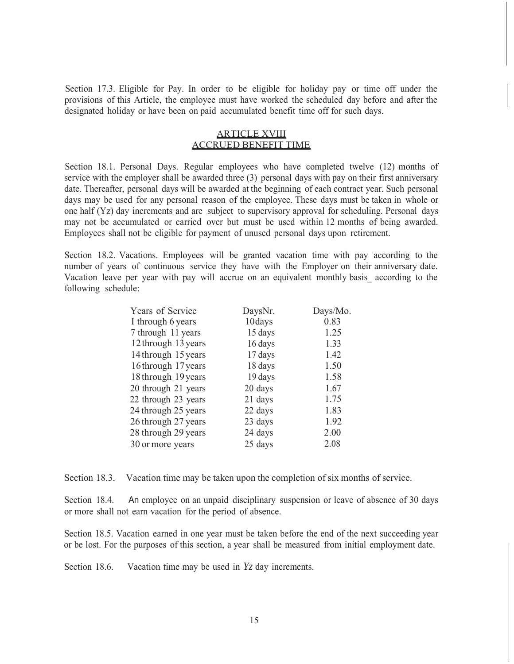Section 17.3. Eligible for Pay. In order to be eligible for holiday pay or time off under the provisions of this Article, the employee must have worked the scheduled day before and after the designated holiday or have been on paid accumulated benefit time off for such days.

## ARTICLE XVIII ACCRUED BENEFIT TIME

Section 18.1. Personal Days. Regular employees who have completed twelve (12) months of service with the employer shall be awarded three (3) personal days with pay on their first anniversary date. Thereafter, personal days will be awarded at the beginning of each contract year. Such personal days may be used for any personal reason of the employee. These days must be taken in whole or one half (Yz) day increments and are subject to supervisory approval for scheduling. Personal days may not be accumulated or carried over but must be used within 12 months of being awarded. Employees shall not be eligible for payment of unused personal days upon retirement.

Section 18.2. Vacations. Employees will be granted vacation time with pay according to the number of years of continuous service they have with the Employer on their anniversary date. Vacation leave per year with pay will accrue on an equivalent monthly basis\_ according to the following schedule:

| Years of Service    | DaysNr. | Days/Mo. |
|---------------------|---------|----------|
| I through 6 years   | 10days  | 0.83     |
| 7 through 11 years  | 15 days | 1.25     |
| 12 through 13 years | 16 days | 1.33     |
| 14 through 15 years | 17 days | 1.42     |
| 16 through 17 years | 18 days | 1.50     |
| 18 through 19 years | 19 days | 1.58     |
| 20 through 21 years | 20 days | 1.67     |
| 22 through 23 years | 21 days | 1.75     |
| 24 through 25 years | 22 days | 1.83     |
| 26 through 27 years | 23 days | 1.92     |
| 28 through 29 years | 24 days | 2.00     |
| 30 or more years    | 25 days | 2.08     |
|                     |         |          |

Section 18.3. Vacation time may be taken upon the completion of six months of service.

Section 18.4. An employee on an unpaid disciplinary suspension or leave of absence of 30 days or more shall not earn vacation for the period of absence.

Section 18.5. Vacation earned in one year must be taken before the end of the next succeeding year or be lost. For the purposes of this section, a year shall be measured from initial employment date.

Section 18.6. Vacation time may be used in *Yz* day increments.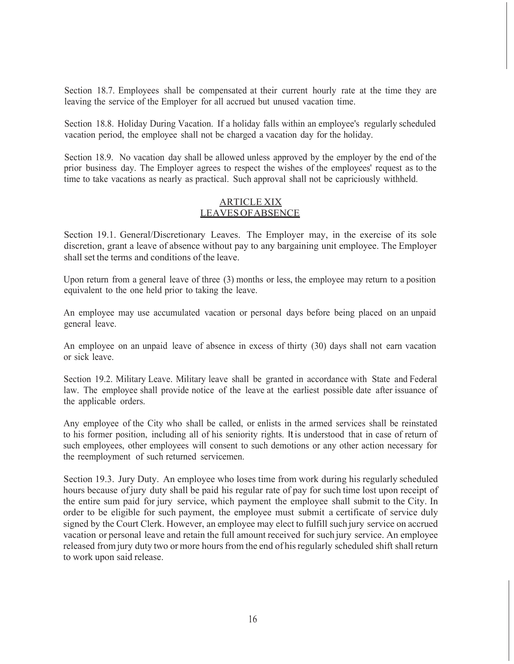Section 18.7. Employees shall be compensated at their current hourly rate at the time they are leaving the service of the Employer for all accrued but unused vacation time.

Section 18.8. Holiday During Vacation. If a holiday falls within an employee's regularly scheduled vacation period, the employee shall not be charged a vacation day for the holiday.

Section 18.9. No vacation day shall be allowed unless approved by the employer by the end of the prior business day. The Employer agrees to respect the wishes of the employees' request as to the time to take vacations as nearly as practical. Such approval shall not be capriciously withheld.

## ARTICLE XIX LEAVES OF ABSENCE

Section 19.1. General/Discretionary Leaves. The Employer may, in the exercise of its sole discretion, grant a leave of absence without pay to any bargaining unit employee. The Employer shall set the terms and conditions of the leave.

Upon return from a general leave of three (3) months or less, the employee may return to a position equivalent to the one held prior to taking the leave.

An employee may use accumulated vacation or personal days before being placed on an unpaid general leave.

An employee on an unpaid leave of absence in excess of thirty (30) days shall not earn vacation or sick leave.

Section 19.2. Military Leave. Military leave shall be granted in accordance with State and Federal law. The employee shall provide notice of the leave at the earliest possible date after issuance of the applicable orders.

Any employee of the City who shall be called, or enlists in the armed services shall be reinstated to his former position, including all of his seniority rights. It is understood that in case of return of such employees, other employees will consent to such demotions or any other action necessary for the reemployment of such returned servicemen.

Section 19.3. Jury Duty. An employee who loses time from work during his regularly scheduled hours because of jury duty shall be paid his regular rate of pay for such time lost upon receipt of the entire sum paid for jury service, which payment the employee shall submit to the City. In order to be eligible for such payment, the employee must submit a certificate of service duly signed by the Court Clerk. However, an employee may elect to fulfill such jury service on accrued vacation or personal leave and retain the full amount received for such jury service. An employee released from jury duty two or more hours from the end of his regularly scheduled shift shall return to work upon said release.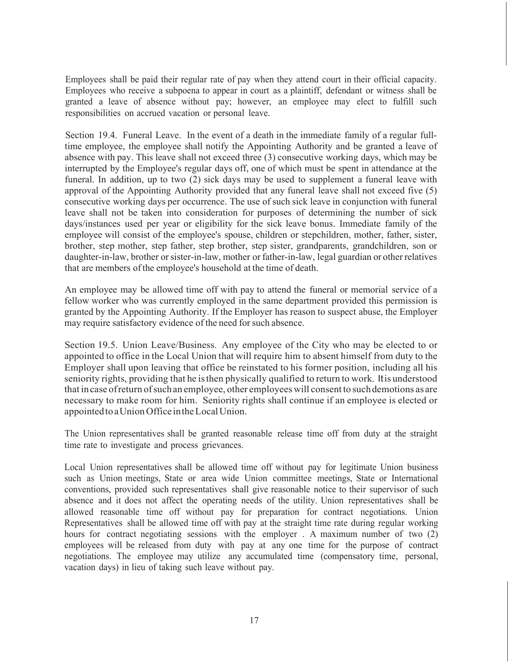Employees shall be paid their regular rate of pay when they attend court in their official capacity. Employees who receive a subpoena to appear in court as a plaintiff, defendant or witness shall be granted a leave of absence without pay; however, an employee may elect to fulfill such responsibilities on accrued vacation or personal leave.

Section 19.4. Funeral Leave. In the event of a death in the immediate family of a regular fulltime employee, the employee shall notify the Appointing Authority and be granted a leave of absence with pay. This leave shall not exceed three (3) consecutive working days, which may be interrupted by the Employee's regular days off, one of which must be spent in attendance at the funeral. In addition, up to two (2) sick days may be used to supplement a funeral leave with approval of the Appointing Authority provided that any funeral leave shall not exceed five (5) consecutive working days per occurrence. The use of such sick leave in conjunction with funeral leave shall not be taken into consideration for purposes of determining the number of sick days/instances used per year or eligibility for the sick leave bonus. Immediate family of the employee will consist of the employee's spouse, children or stepchildren, mother, father, sister, brother, step mother, step father, step brother, step sister, grandparents, grandchildren, son or daughter-in-law, brother or sister-in-law, mother or father-in-law, legal guardian or other relatives that are members of the employee's household at the time of death.

An employee may be allowed time off with pay to attend the funeral or memorial service of a fellow worker who was currently employed in the same department provided this permission is granted by the Appointing Authority. If the Employer has reason to suspect abuse, the Employer may require satisfactory evidence of the need for such absence.

Section 19.5. Union Leave/Business. Any employee of the City who may be elected to or appointed to office in the Local Union that will require him to absent himself from duty to the Employer shall upon leaving that office be reinstated to his former position, including all his seniority rights, providing that he is then physically qualified to return to work. It is understood that in case of return of such an employee, other employees will consent to such demotions as are necessary to make room for him. Seniority rights shall continue if an employee is elected or appointed to a Union Office in the Local Union.

The Union representatives shall be granted reasonable release time off from duty at the straight time rate to investigate and process grievances.

Local Union representatives shall be allowed time off without pay for legitimate Union business such as Union meetings, State or area wide Union committee meetings, State or International conventions, provided such representatives shall give reasonable notice to their supervisor of such absence and it does not affect the operating needs of the utility. Union representatives shall be allowed reasonable time off without pay for preparation for contract negotiations. Union Representatives shall be allowed time off with pay at the straight time rate during regular working hours for contract negotiating sessions with the employer. A maximum number of two (2) employees will be released from duty with pay at any one time for the purpose of contract negotiations. The employee may utilize any accumulated time (compensatory time, personal, vacation days) in lieu of taking such leave without pay.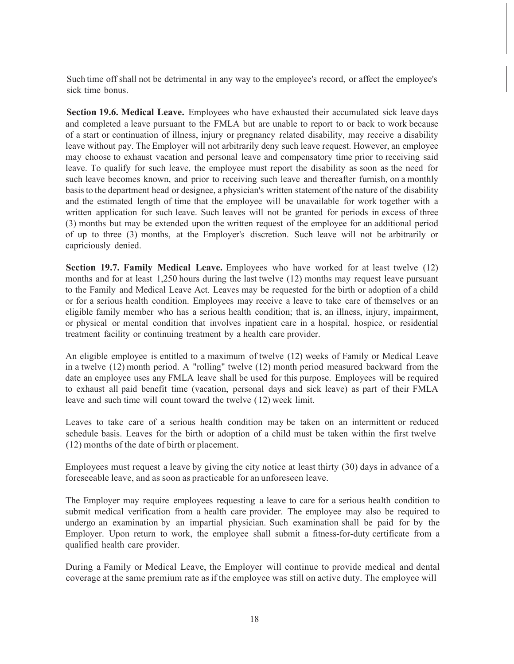Such time off shall not be detrimental in any way to the employee's record, or affect the employee's sick time bonus.

**Section 19.6. Medical Leave.** Employees who have exhausted their accumulated sick leave days and completed a leave pursuant to the FMLA but are unable to report to or back to work because of a start or continuation of illness, injury or pregnancy related disability, may receive a disability leave without pay. The Employer will not arbitrarily deny such leave request. However, an employee may choose to exhaust vacation and personal leave and compensatory time prior to receiving said leave. To qualify for such leave, the employee must report the disability as soon as the need for such leave becomes known, and prior to receiving such leave and thereafter furnish, on a monthly basis to the department head or designee, a physician's written statement of the nature of the disability and the estimated length of time that the employee will be unavailable for work together with a written application for such leave. Such leaves will not be granted for periods in excess of three (3) months but may be extended upon the written request of the employee for an additional period of up to three (3) months, at the Employer's discretion. Such leave will not be arbitrarily or capriciously denied.

**Section 19.7. Family Medical Leave.** Employees who have worked for at least twelve (12) months and for at least 1,250 hours during the last twelve (12) months may request leave pursuant to the Family and Medical Leave Act. Leaves may be requested for the birth or adoption of a child or for a serious health condition. Employees may receive a leave to take care of themselves or an eligible family member who has a serious health condition; that is, an illness, injury, impairment, or physical or mental condition that involves inpatient care in a hospital, hospice, or residential treatment facility or continuing treatment by a health care provider.

An eligible employee is entitled to a maximum of twelve (12) weeks of Family or Medical Leave in a twelve (12) month period. A "rolling" twelve (12) month period measured backward from the date an employee uses any FMLA leave shall be used for this purpose. Employees will be required to exhaust all paid benefit time (vacation, personal days and sick leave) as part of their FMLA leave and such time will count toward the twelve ( 12) week limit.

Leaves to take care of a serious health condition may be taken on an intermittent or reduced schedule basis. Leaves for the birth or adoption of a child must be taken within the first twelve (12) months of the date of birth or placement.

Employees must request a leave by giving the city notice at least thirty (30) days in advance of a foreseeable leave, and as soon as practicable for an unforeseen leave.

The Employer may require employees requesting a leave to care for a serious health condition to submit medical verification from a health care provider. The employee may also be required to undergo an examination by an impartial physician. Such examination shall be paid for by the Employer. Upon return to work, the employee shall submit a fitness-for-duty certificate from a qualified health care provider.

During a Family or Medical Leave, the Employer will continue to provide medical and dental coverage at the same premium rate as if the employee was still on active duty. The employee will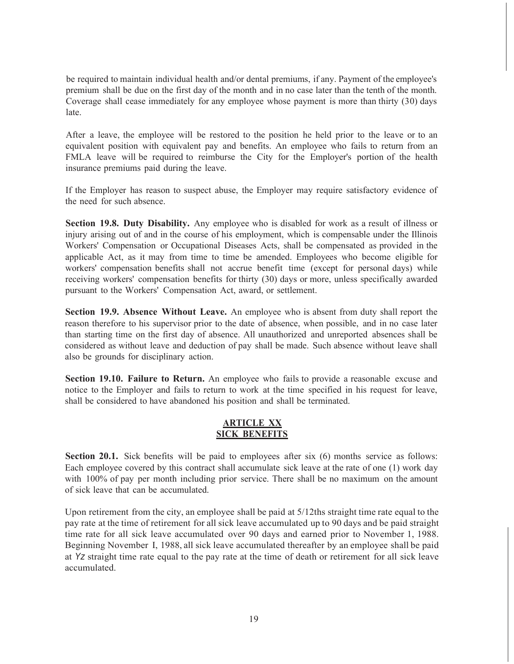be required to maintain individual health and/or dental premiums, if any. Payment of the employee's premium shall be due on the first day of the month and in no case later than the tenth of the month. Coverage shall cease immediately for any employee whose payment is more than thirty (30) days late.

After a leave, the employee will be restored to the position he held prior to the leave or to an equivalent position with equivalent pay and benefits. An employee who fails to return from an FMLA leave will be required to reimburse the City for the Employer's portion of the health insurance premiums paid during the leave.

If the Employer has reason to suspect abuse, the Employer may require satisfactory evidence of the need for such absence.

**Section 19.8. Duty Disability.** Any employee who is disabled for work as a result of illness or injury arising out of and in the course of his employment, which is compensable under the Illinois Workers' Compensation or Occupational Diseases Acts, shall be compensated as provided in the applicable Act, as it may from time to time be amended. Employees who become eligible for workers' compensation benefits shall not accrue benefit time (except for personal days) while receiving workers' compensation benefits for thirty (30) days or more, unless specifically awarded pursuant to the Workers' Compensation Act, award, or settlement.

**Section 19.9. Absence Without Leave.** An employee who is absent from duty shall report the reason therefore to his supervisor prior to the date of absence, when possible, and in no case later than starting time on the first day of absence. All unauthorized and unreported absences shall be considered as without leave and deduction of pay shall be made. Such absence without leave shall also be grounds for disciplinary action.

**Section 19.10. Failure to Return.** An employee who fails to provide a reasonable excuse and notice to the Employer and fails to return to work at the time specified in his request for leave, shall be considered to have abandoned his position and shall be terminated.

## **ARTICLE XX SICK BENEFITS**

**Section 20.1.** Sick benefits will be paid to employees after six (6) months service as follows: Each employee covered by this contract shall accumulate sick leave at the rate of one (1) work day with 100% of pay per month including prior service. There shall be no maximum on the amount of sick leave that can be accumulated.

Upon retirement from the city, an employee shall be paid at 5/12ths straight time rate equal to the pay rate at the time of retirement for all sick leave accumulated up to 90 days and be paid straight time rate for all sick leave accumulated over 90 days and earned prior to November 1, 1988. Beginning November I, 1988, all sick leave accumulated thereafter by an employee shall be paid at *Yz* straight time rate equal to the pay rate at the time of death or retirement for all sick leave accumulated.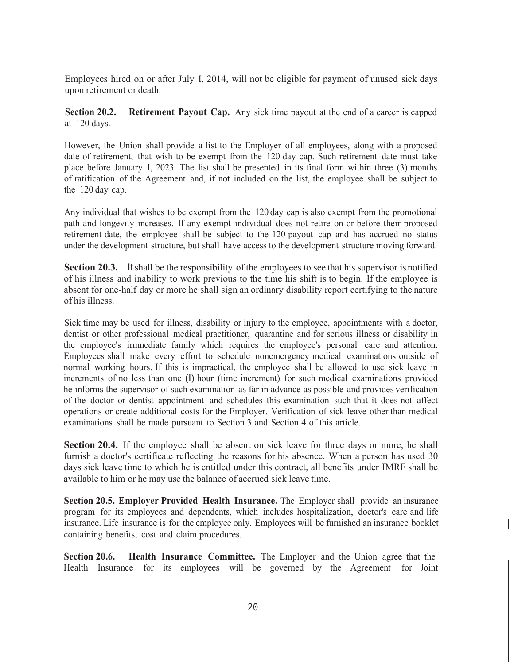Employees hired on or after July I, 2014, will not be eligible for payment of unused sick days upon retirement or death.

**Section 20.2.** Retirement Payout Cap. Any sick time payout at the end of a career is capped at 120 days.

However, the Union shall provide a list to the Employer of all employees, along with a proposed date of retirement, that wish to be exempt from the 120 day cap. Such retirement date must take place before January I, 2023. The list shall be presented in its final form within three (3) months of ratification of the Agreement and, if not included on the list, the employee shall be subject to the 120 day cap.

Any individual that wishes to be exempt from the 120 day cap is also exempt from the promotional path and longevity increases. If any exempt individual does not retire on or before their proposed retirement date, the employee shall be subject to the 120 payout cap and has accrued no status under the development structure, but shall have access to the development structure moving forward.

**Section 20.3.** It shall be the responsibility of the employees to see that his supervisor is notified of his illness and inability to work previous to the time his shift is to begin. If the employee is absent for one-half day or more he shall sign an ordinary disability report certifying to the nature of his illness.

Sick time may be used for illness, disability or injury to the employee, appointments with a doctor, dentist or other professional medical practitioner, quarantine and for serious illness or disability in the employee's irmnediate family which requires the employee's personal care and attention. Employees shall make every effort to schedule nonemergency medical examinations outside of normal working hours. If this is impractical, the employee shall be allowed to use sick leave in increments of no less than one (I) hour (time increment) for such medical examinations provided he informs the supervisor of such examination as far in advance as possible and provides verification of the doctor or dentist appointment and schedules this examination such that it does not affect operations or create additional costs for the Employer. Verification of sick leave other than medical examinations shall be made pursuant to Section 3 and Section 4 of this article.

**Section 20.4.** If the employee shall be absent on sick leave for three days or more, he shall furnish a doctor's certificate reflecting the reasons for his absence. When a person has used 30 days sick leave time to which he is entitled under this contract, all benefits under IMRF shall be available to him or he may use the balance of accrued sick leave time.

**Section 20.5. Employer Provided Health Insurance.** The Employer shall provide an insurance program for its employees and dependents, which includes hospitalization, doctor's care and life insurance. Life insurance is for the employee only. Employees will be furnished an insurance booklet containing benefits, cost and claim procedures.

**Section 20.6.** Health Insurance Committee. The Employer and the Union agree that the Health Insurance for its employees will be governed by the Agreement for Joint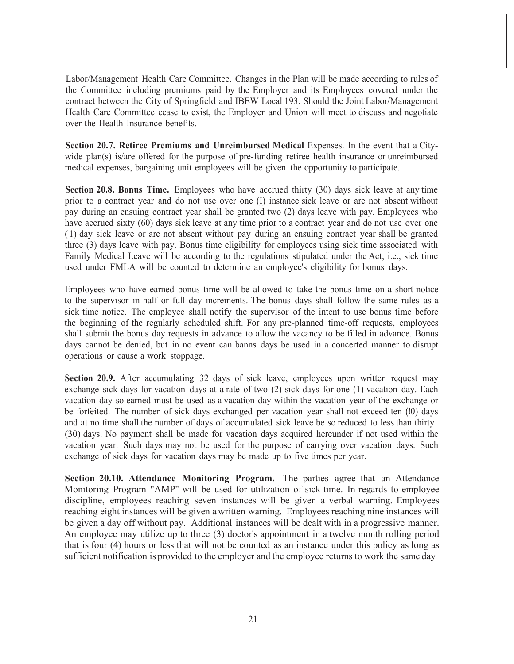Labor/Management Health Care Committee. Changes in the Plan will be made according to rules of the Committee including premiums paid by the Employer and its Employees covered under the contract between the City of Springfield and IBEW Local 193. Should the Joint Labor/Management Health Care Committee cease to exist, the Employer and Union will meet to discuss and negotiate over the Health Insurance benefits.

**Section 20.7. Retiree Premiums and Unreimbursed Medical** Expenses. In the event that a Citywide plan(s) is/are offered for the purpose of pre-funding retiree health insurance or unreimbursed medical expenses, bargaining unit employees will be given the opportunity to participate.

**Section 20.8. Bonus Time.** Employees who have accrued thirty (30) days sick leave at any time prior to a contract year and do not use over one (I) instance sick leave or are not absent without pay during an ensuing contract year shall be granted two (2) days leave with pay. Employees who have accrued sixty (60) days sick leave at any time prior to a contract year and do not use over one ( 1) day sick leave or are not absent without pay during an ensuing contract year shall be granted three (3) days leave with pay. Bonus time eligibility for employees using sick time associated with Family Medical Leave will be according to the regulations stipulated under the Act, i.e., sick time used under FMLA will be counted to determine an employee's eligibility for bonus days.

Employees who have earned bonus time will be allowed to take the bonus time on a short notice to the supervisor in half or full day increments. The bonus days shall follow the same rules as a sick time notice. The employee shall notify the supervisor of the intent to use bonus time before the beginning of the regularly scheduled shift. For any pre-planned time-off requests, employees shall submit the bonus day requests in advance to allow the vacancy to be filled in advance. Bonus days cannot be denied, but in no event can banns days be used in a concerted manner to disrupt operations or cause a work stoppage.

**Section 20.9.** After accumulating 32 days of sick leave, employees upon written request may exchange sick days for vacation days at a rate of two (2) sick days for one (1) vacation day. Each vacation day so earned must be used as a vacation day within the vacation year of the exchange or be forfeited. The number of sick days exchanged per vacation year shall not exceed ten (!0) days and at no time shall the number of days of accumulated sick leave be so reduced to less than thirty (30) days. No payment shall be made for vacation days acquired hereunder if not used within the vacation year. Such days may not be used for the purpose of carrying over vacation days. Such exchange of sick days for vacation days may be made up to five times per year.

**Section 20.10. Attendance Monitoring Program.** The parties agree that an Attendance Monitoring Program "AMP" will be used for utilization of sick time. In regards to employee discipline, employees reaching seven instances will be given a verbal warning. Employees reaching eight instances will be given a written warning. Employees reaching nine instances will be given a day off without pay. Additional instances will be dealt with in a progressive manner. An employee may utilize up to three (3) doctor's appointment in a twelve month rolling period that is four (4) hours or less that will not be counted as an instance under this policy as long as sufficient notification is provided to the employer and the employee returns to work the same day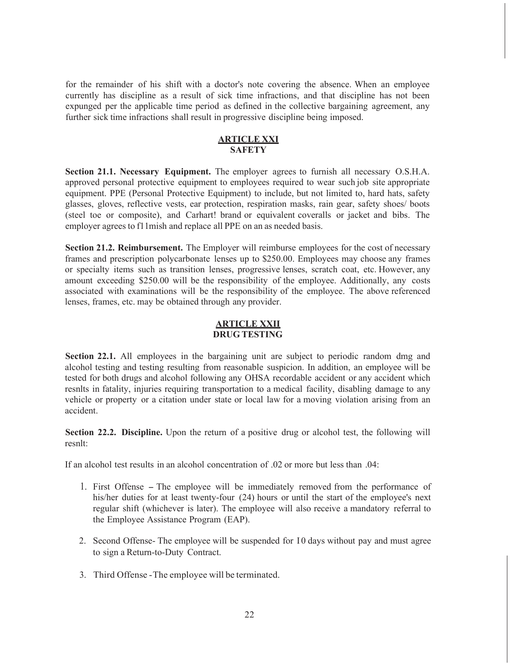for the remainder of his shift with a doctor's note covering the absence. When an employee currently has discipline as a result of sick time infractions, and that discipline has not been expunged per the applicable time period as defined in the collective bargaining agreement, any further sick time infractions shall result in progressive discipline being imposed.

## **ARTICLE XXI SAFETY**

**Section 21.1. Necessary Equipment.** The employer agrees to furnish all necessary O.S.H.A. approved personal protective equipment to employees required to wear such job site appropriate equipment. PPE (Personal Protective Equipment) to include, but not limited to, hard hats, safety glasses, gloves, reflective vests, ear protection, respiration masks, rain gear, safety shoes/ boots (steel toe or composite), and Carhart! brand or equivalent coveralls or jacket and bibs. The employer agrees to f11 mish and replace all PPE on an as needed basis.

**Section 21.2. Reimbursement.** The Employer will reimburse employees for the cost of necessary frames and prescription polycarbonate lenses up to \$250.00. Employees may choose any frames or specialty items such as transition lenses, progressive lenses, scratch coat, etc. However, any amount exceeding \$250.00 will be the responsibility of the employee. Additionally, any costs associated with examinations will be the responsibility of the employee. The above referenced lenses, frames, etc. may be obtained through any provider.

## **ARTICLE XXII DRUG TESTING**

**Section 22.1.** All employees in the bargaining unit are subject to periodic random dmg and alcohol testing and testing resulting from reasonable suspicion. In addition, an employee will be tested for both drugs and alcohol following any OHSA recordable accident or any accident which resnlts in fatality, injuries requiring transportation to a medical facility, disabling damage to any vehicle or property or a citation under state or local law for a moving violation arising from an accident.

**Section 22.2. Discipline.** Upon the return of a positive drug or alcohol test, the following will resnlt:

If an alcohol test results in an alcohol concentration of .02 or more but less than .04:

- 1. First Offense The employee will be immediately removed from the performance of his/her duties for at least twenty-four (24) hours or until the start of the employee's next regular shift (whichever is later). The employee will also receive a mandatory referral to the Employee Assistance Program (EAP).
- 2. Second Offense- The employee will be suspended for I 0 days without pay and must agree to sign a Return-to-Duty Contract.
- 3. Third Offense The employee will be terminated.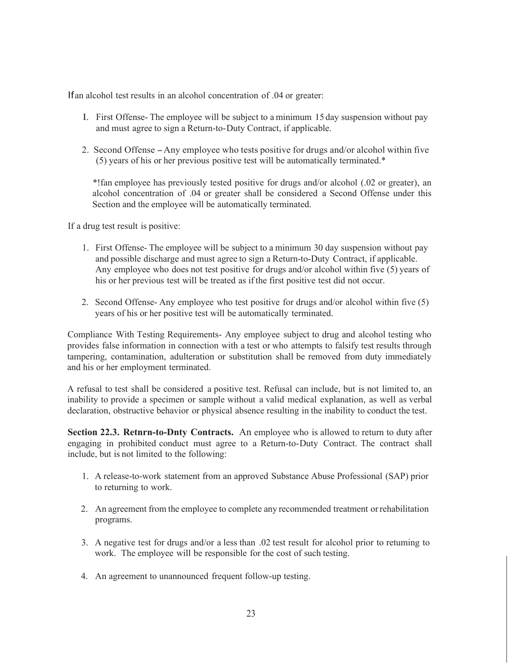If an alcohol test results in an alcohol concentration of .04 or greater:

- I. First Offense- The employee will be subject to a minimum 15 day suspension without pay and must agree to sign a Return-to-Duty Contract, if applicable.
- 2. Second Offense Any employee who tests positive for drugs and/or alcohol within five (5) years of his or her previous positive test will be automatically terminated.\*

\*!fan employee has previously tested positive for drugs and/or alcohol (.02 or greater), an alcohol concentration of .04 or greater shall be considered a Second Offense under this Section and the employee will be automatically terminated.

If a drug test result is positive:

- 1. First Offense- The employee will be subject to a minimum 30 day suspension without pay and possible discharge and must agree to sign a Return-to-Duty Contract, if applicable. Any employee who does not test positive for drugs and/or alcohol within five (5) years of his or her previous test will be treated as if the first positive test did not occur.
- 2. Second Offense- Any employee who test positive for drugs and/or alcohol within five (5) years of his or her positive test will be automatically terminated.

Compliance With Testing Requirements- Any employee subject to drug and alcohol testing who provides false information in connection with a test or who attempts to falsify test results through tampering, contamination, adulteration or substitution shall be removed from duty immediately and his or her employment terminated.

A refusal to test shall be considered a positive test. Refusal can include, but is not limited to, an inability to provide a specimen or sample without a valid medical explanation, as well as verbal declaration, obstructive behavior or physical absence resulting in the inability to conduct the test.

**Section 22.3. Retnrn-to-Dnty Contracts.** An employee who is allowed to return to duty after engaging in prohibited conduct must agree to a Return-to-Duty Contract. The contract shall include, but is not limited to the following:

- 1. A release-to-work statement from an approved Substance Abuse Professional (SAP) prior to returning to work.
- 2. An agreement from the employee to complete any recommended treatment or rehabilitation programs.
- 3. A negative test for drugs and/or a less than .02 test result for alcohol prior to retuming to work. The employee will be responsible for the cost of such testing.
- 4. An agreement to unannounced frequent follow-up testing.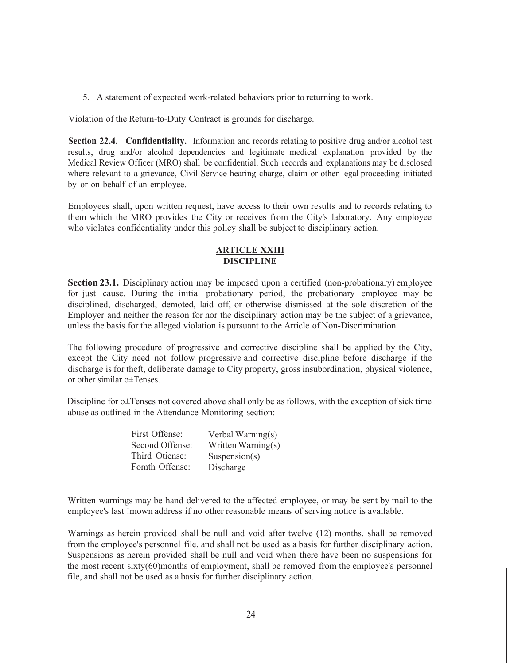5. A statement of expected work-related behaviors prior to returning to work.

Violation of the Return-to-Duty Contract is grounds for discharge.

**Section 22.4. Confidentiality.** Information and records relating to positive drug and/or alcohol test results, drug and/or alcohol dependencies and legitimate medical explanation provided by the Medical Review Officer (MRO) shall be confidential. Such records and explanations may be disclosed where relevant to a grievance, Civil Service hearing charge, claim or other legal proceeding initiated by or on behalf of an employee.

Employees shall, upon written request, have access to their own results and to records relating to them which the MRO provides the City or receives from the City's laboratory. Any employee who violates confidentiality under this policy shall be subject to disciplinary action.

## **ARTICLE XXIII DISCIPLINE**

**Section 23.1.** Disciplinary action may be imposed upon a certified (non-probationary) employee for just cause. During the initial probationary period, the probationary employee may be disciplined, discharged, demoted, laid off, or otherwise dismissed at the sole discretion of the Employer and neither the reason for nor the disciplinary action may be the subject of a grievance, unless the basis for the alleged violation is pursuant to the Article of Non-Discrimination.

The following procedure of progressive and corrective discipline shall be applied by the City, except the City need not follow progressive and corrective discipline before discharge if the discharge is for theft, deliberate damage to City property, gross insubordination, physical violence, or other similar o±Tenses.

Discipline for o±Tenses not covered above shall only be as follows, with the exception of sick time abuse as outlined in the Attendance Monitoring section:

| Verbal Warning(s)  |
|--------------------|
| Written Warning(s) |
| Suspension(s)      |
| Discharge          |
|                    |

Written warnings may be hand delivered to the affected employee, or may be sent by mail to the employee's last !mown address if no other reasonable means of serving notice is available.

Warnings as herein provided shall be null and void after twelve (12) months, shall be removed from the employee's personnel file, and shall not be used as a basis for further disciplinary action. Suspensions as herein provided shall be null and void when there have been no suspensions for the most recent sixty(60)months of employment, shall be removed from the employee's personnel file, and shall not be used as a basis for further disciplinary action.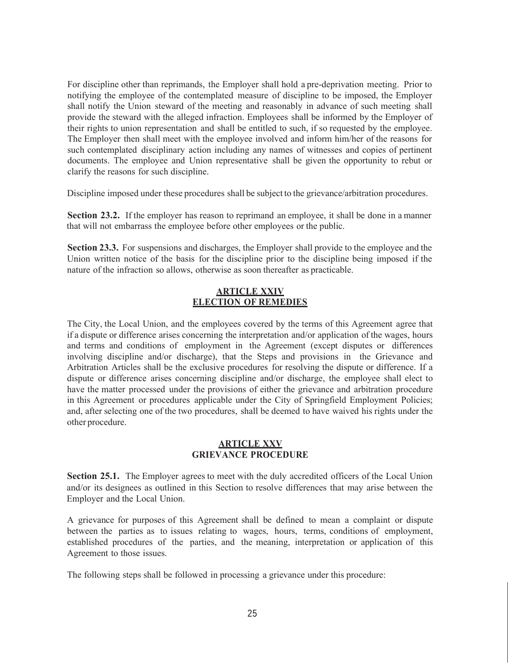For discipline other than reprimands, the Employer shall hold a pre-deprivation meeting. Prior to notifying the employee of the contemplated measure of discipline to be imposed, the Employer shall notify the Union steward of the meeting and reasonably in advance of such meeting shall provide the steward with the alleged infraction. Employees shall be informed by the Employer of their rights to union representation and shall be entitled to such, if so requested by the employee. The Employer then shall meet with the employee involved and inform him/her of the reasons for such contemplated disciplinary action including any names of witnesses and copies of pertinent documents. The employee and Union representative shall be given the opportunity to rebut or clarify the reasons for such discipline.

Discipline imposed under these procedures shall be subject to the grievance/arbitration procedures.

**Section 23.2.** If the employer has reason to reprimand an employee, it shall be done in a manner that will not embarrass the employee before other employees or the public.

**Section 23.3.** For suspensions and discharges, the Employer shall provide to the employee and the Union written notice of the basis for the discipline prior to the discipline being imposed if the nature of the infraction so allows, otherwise as soon thereafter as practicable.

## **ARTICLE XXIV ELECTION OF REMEDIES**

The City, the Local Union, and the employees covered by the terms of this Agreement agree that if a dispute or difference arises concerning the interpretation and/or application of the wages, hours and terms and conditions of employment in the Agreement (except disputes or differences involving discipline and/or discharge), that the Steps and provisions in the Grievance and Arbitration Articles shall be the exclusive procedures for resolving the dispute or difference. If a dispute or difference arises concerning discipline and/or discharge, the employee shall elect to have the matter processed under the provisions of either the grievance and arbitration procedure in this Agreement or procedures applicable under the City of Springfield Employment Policies; and, after selecting one of the two procedures, shall be deemed to have waived his rights under the other procedure.

## **ARTICLE XXV GRIEVANCE PROCEDURE**

**Section 25.1.** The Employer agrees to meet with the duly accredited officers of the Local Union and/or its designees as outlined in this Section to resolve differences that may arise between the Employer and the Local Union.

A grievance for purposes of this Agreement shall be defined to mean a complaint or dispute between the parties as to issues relating to wages, hours, terms, conditions of employment, established procedures of the parties, and the meaning, interpretation or application of this Agreement to those issues.

The following steps shall be followed in processing a grievance under this procedure: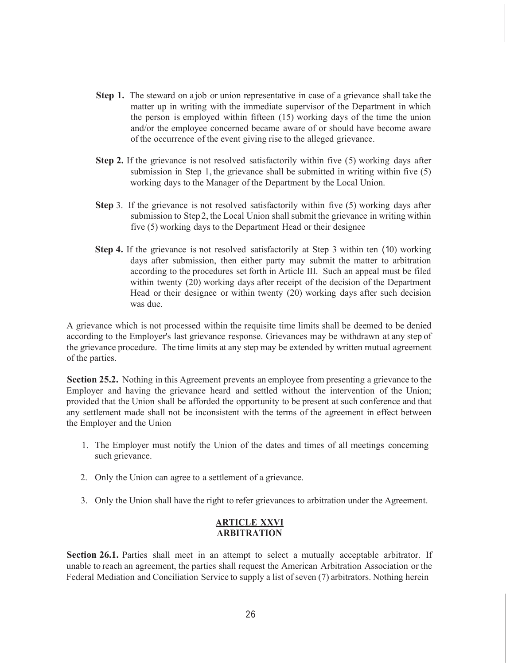- **Step 1.** The steward on a job or union representative in case of a grievance shall take the matter up in writing with the immediate supervisor of the Department in which the person is employed within fifteen (15) working days of the time the union and/or the employee concerned became aware of or should have become aware of the occurrence of the event giving rise to the alleged grievance.
- **Step 2.** If the grievance is not resolved satisfactorily within five (5) working days after submission in Step 1, the grievance shall be submitted in writing within five (5) working days to the Manager of the Department by the Local Union.
- **Step** 3. If the grievance is not resolved satisfactorily within five (5) working days after submission to Step 2, the Local Union shall submit the grievance in writing within five (5) working days to the Department Head or their designee
- **Step 4.** If the grievance is not resolved satisfactorily at Step 3 within ten (10) working days after submission, then either party may submit the matter to arbitration according to the procedures set forth in Article III. Such an appeal must be filed within twenty (20) working days after receipt of the decision of the Department Head or their designee or within twenty (20) working days after such decision was due.

A grievance which is not processed within the requisite time limits shall be deemed to be denied according to the Employer's last grievance response. Grievances may be withdrawn at any step of the grievance procedure. The time limits at any step may be extended by written mutual agreement of the parties.

**Section 25.2.** Nothing in this Agreement prevents an employee from presenting a grievance to the Employer and having the grievance heard and settled without the intervention of the Union; provided that the Union shall be afforded the opportunity to be present at such conference and that any settlement made shall not be inconsistent with the terms of the agreement in effect between the Employer and the Union

- 1. The Employer must notify the Union of the dates and times of all meetings conceming such grievance.
- 2. Only the Union can agree to a settlement of a grievance.
- 3. Only the Union shall have the right to refer grievances to arbitration under the Agreement.

#### **ARTICLE XXVI ARBITRATION**

**Section 26.1.** Parties shall meet in an attempt to select a mutually acceptable arbitrator. If unable to reach an agreement, the parties shall request the American Arbitration Association or the Federal Mediation and Conciliation Service to supply a list of seven (7) arbitrators. Nothing herein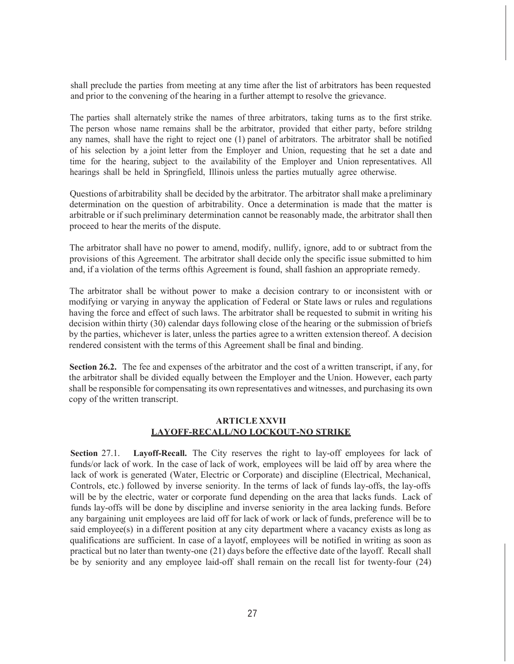shall preclude the parties from meeting at any time after the list of arbitrators has been requested and prior to the convening of the hearing in a further attempt to resolve the grievance.

The parties shall alternately strike the names of three arbitrators, taking turns as to the first strike. The person whose name remains shall be the arbitrator, provided that either party, before strildng any names, shall have the right to reject one (1) panel of arbitrators. The arbitrator shall be notified of his selection by a joint letter from the Employer and Union, requesting that he set a date and time for the hearing, subject to the availability of the Employer and Union representatives. All hearings shall be held in Springfield, Illinois unless the parties mutually agree otherwise.

Questions of arbitrability shall be decided by the arbitrator. The arbitrator shall make a preliminary determination on the question of arbitrability. Once a determination is made that the matter is arbitrable or if such preliminary determination cannot be reasonably made, the arbitrator shall then proceed to hear the merits of the dispute.

The arbitrator shall have no power to amend, modify, nullify, ignore, add to or subtract from the provisions of this Agreement. The arbitrator shall decide only the specific issue submitted to him and, if a violation of the terms ofthis Agreement is found, shall fashion an appropriate remedy.

The arbitrator shall be without power to make a decision contrary to or inconsistent with or modifying or varying in anyway the application of Federal or State laws or rules and regulations having the force and effect of such laws. The arbitrator shall be requested to submit in writing his decision within thirty (30) calendar days following close of the hearing or the submission of briefs by the parties, whichever is later, unless the parties agree to a written extension thereof. A decision rendered consistent with the terms of this Agreement shall be final and binding.

**Section 26.2.** The fee and expenses of the arbitrator and the cost of a written transcript, if any, for the arbitrator shall be divided equally between the Employer and the Union. However, each party shall be responsible for compensating its own representatives and witnesses, and purchasing its own copy of the written transcript.

## **ARTICLE XXVII LAYOFF-RECALL/NO LOCKOUT-NO STRIKE**

**Section** 27.1. **Layoff-Recall.** The City reserves the right to lay-off employees for lack of funds/or lack of work. In the case of lack of work, employees will be laid off by area where the lack of work is generated (Water, Electric or Corporate) and discipline (Electrical, Mechanical, Controls, etc.) followed by inverse seniority. In the terms of lack of funds lay-offs, the lay-offs will be by the electric, water or corporate fund depending on the area that lacks funds. Lack of funds lay-offs will be done by discipline and inverse seniority in the area lacking funds. Before any bargaining unit employees are laid off for lack of work or lack of funds, preference will be to said employee(s) in a different position at any city department where a vacancy exists as long as qualifications are sufficient. In case of a layotf, employees will be notified in writing as soon as practical but no later than twenty-one (21) days before the effective date of the layoff. Recall shall be by seniority and any employee laid-off shall remain on the recall list for twenty-four (24)